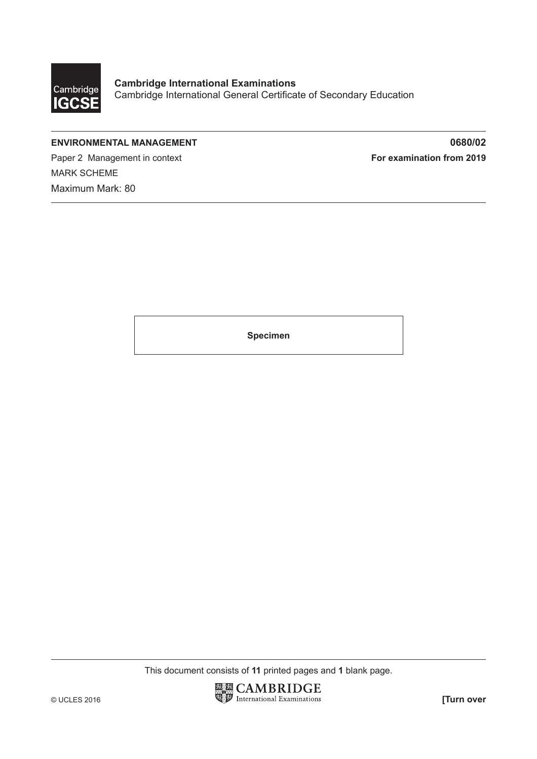

## **ENVIRONMENTAL MANAGEMENT 0680/02**

Paper 2 Management in context **For examination from 2019** MARK SCHEME Maximum Mark: 80

**Specimen**

This document consists of **11** printed pages and **1** blank page.

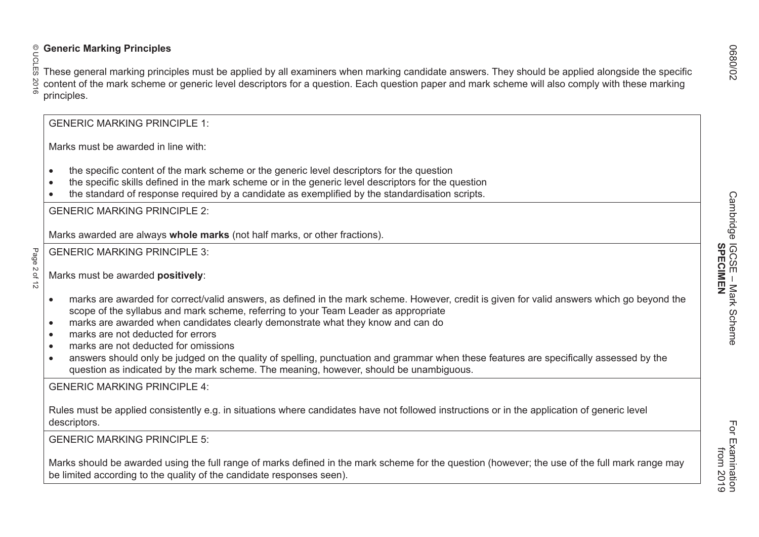Page 2 of 12 © UCLES 2016 **Generic Marking Principles** These general marking principles must be applied by all examiners when marking candidate answers. They should be applied alongside the specific content of the mark scheme or generic level descriptors for a question. Each question paper and mark scheme will also comply with these marking principles. GENERIC MARKING PRINCIPLE 1: Marks must be awarded in line with: • the specific content of the mark scheme or the generic level descriptors for the question • the specific skills defined in the mark scheme or in the generic level descriptors for the question • the standard of response required by a candidate as exemplified by the standardisation scripts. GENERIC MARKING PRINCIPLE 2: Marks awarded are always **whole marks** (not half marks, or other fractions). GENERIC MARKING PRINCIPLE 3: Marks must be awarded **positively**: • marks are awarded for correct/valid answers, as defined in the mark scheme. However, credit is given for valid answers which go beyond the scope of the syllabus and mark scheme, referring to your Team Leader as appropriate • marks are awarded when candidates clearly demonstrate what they know and can do • marks are not deducted for errors• marks are not deducted for omissions• answers should only be judged on the quality of spelling, punctuation and grammar when these features are specifically assessed by the question as indicated by the mark scheme. The meaning, however, should be unambiguous. GENERIC MARKING PRINCIPLE 4:Rules must be applied consistently e.g. in situations where candidates have not followed instructions or in the application of generic level descriptors. GENERIC MARKING PRINCIPLE 5:Marks should be awarded using the full range of marks defined in the mark scheme for the question (however; the use of the full mark range may be limited according to the quality of the candidate responses seen).

 from 2019 For Examination<br>from 2019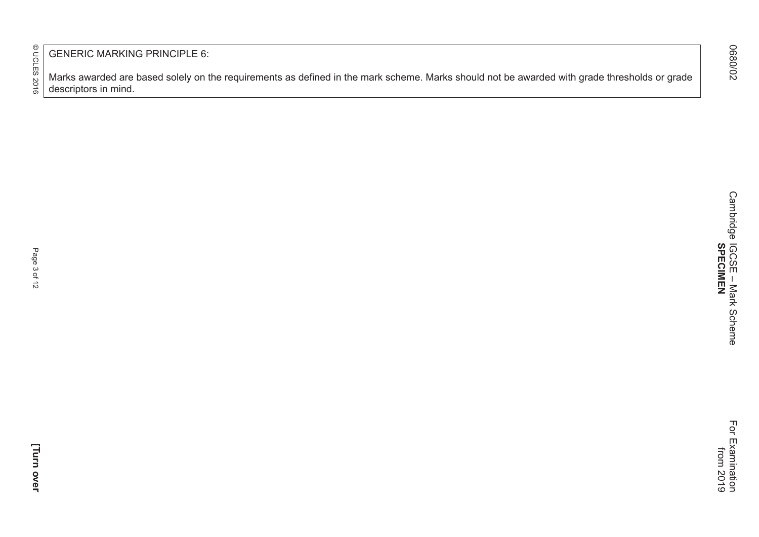© UCLES 2016 Page 3 of 12 © UCLES 2016

GENERIC MARKING PRINCIPLE 6:

Marks awarded are based solely on the requirements as defined in the mark scheme. Marks should not be awarded with grade thresholds or grade descriptors in mind.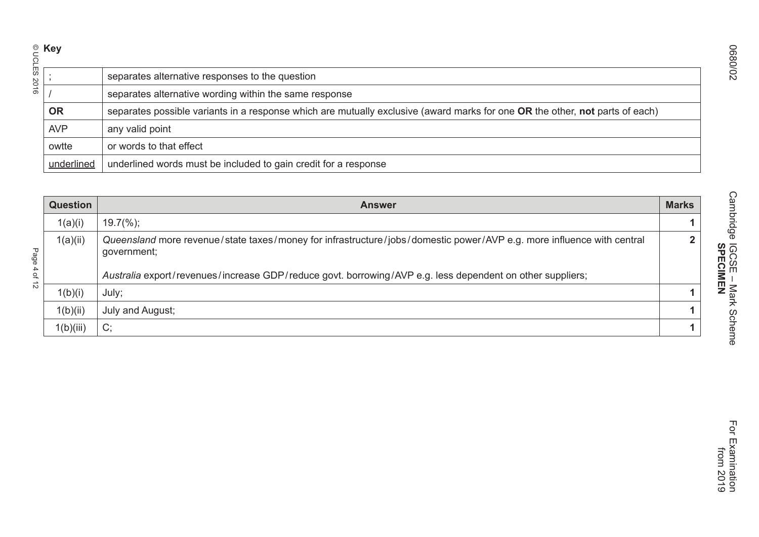|      |                 | separates alternative responses to the question                                                                                      |              |
|------|-----------------|--------------------------------------------------------------------------------------------------------------------------------------|--------------|
|      |                 | separates alternative wording within the same response                                                                               |              |
|      | <b>OR</b>       | separates possible variants in a response which are mutually exclusive (award marks for one OR the other, not parts of each)         |              |
|      | <b>AVP</b>      | any valid point                                                                                                                      |              |
|      | owtte           | or words to that effect                                                                                                              |              |
|      | underlined      | underlined words must be included to gain credit for a response                                                                      |              |
|      |                 |                                                                                                                                      |              |
|      | <b>Question</b> | <b>Answer</b>                                                                                                                        | <b>Marks</b> |
|      | 1(a)(i)         | $19.7\frac{6}{6}$ ;                                                                                                                  |              |
| Page | 1(a)(ii)        | Queensland more revenue/state taxes/money for infrastructure/jobs/domestic power/AVP e.g. more influence with central<br>government; |              |
| 4 of |                 | Australia export/revenues/increase GDP/reduce govt. borrowing/AVP e.g. less dependent on other suppliers;                            |              |
| 5    |                 |                                                                                                                                      |              |

| <b>Question</b> | <b>Answer</b>                                                                                                                                                                                                                                     | <b>Marks</b> |
|-----------------|---------------------------------------------------------------------------------------------------------------------------------------------------------------------------------------------------------------------------------------------------|--------------|
| 1(a)(i)         | $19.7\frac{6}{6}$ ;                                                                                                                                                                                                                               |              |
| 1(a)(ii)        | Queensland more revenue/state taxes/money for infrastructure/jobs/domestic power/AVP e.g. more influence with central<br>government;<br>Australia export/revenues/increase GDP/reduce govt. borrowing/AVP e.g. less dependent on other suppliers; | ി            |
| 1(b)(i)         | July;                                                                                                                                                                                                                                             |              |
| 1(b)(ii)        | July and August;                                                                                                                                                                                                                                  |              |
| 1(b)(iii)       | C;                                                                                                                                                                                                                                                |              |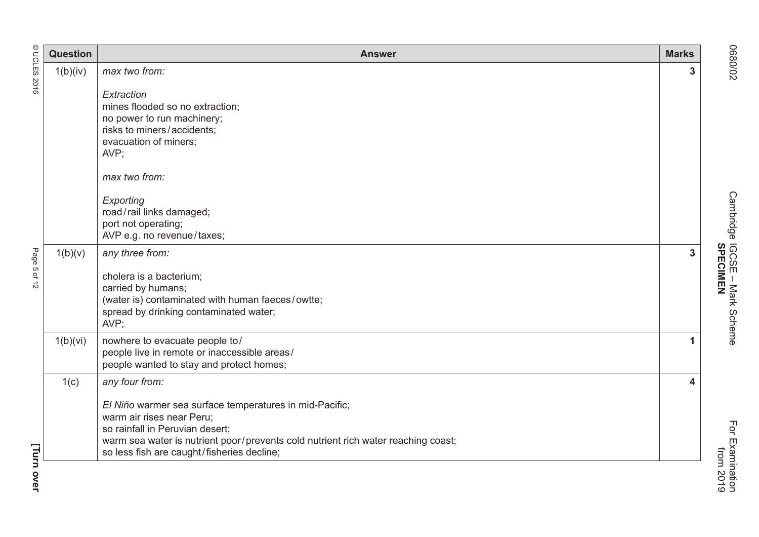|              | <b>Question</b> | <b>Answer</b>                                                                                                                                                                                                                                                                | <b>Marks</b> |
|--------------|-----------------|------------------------------------------------------------------------------------------------------------------------------------------------------------------------------------------------------------------------------------------------------------------------------|--------------|
| © UCLES 2016 | 1(b)(iv)        | max two from:                                                                                                                                                                                                                                                                | 3            |
|              |                 | Extraction<br>mines flooded so no extraction;<br>no power to run machinery;<br>risks to miners/accidents;<br>evacuation of miners;<br>AVP;<br>max two from:<br>Exporting<br>road/rail links damaged;<br>port not operating;                                                  |              |
| Page 5 of 12 | 1(b)(v)         | AVP e.g. no revenue/taxes;<br>any three from:<br>cholera is a bacterium;<br>carried by humans;<br>(water is) contaminated with human faeces/owtte;<br>spread by drinking contaminated water;<br>AVP;                                                                         | 3            |
|              | 1(b)(vi)        | nowhere to evacuate people to/<br>people live in remote or inaccessible areas/<br>people wanted to stay and protect homes;                                                                                                                                                   | 1            |
| [            | 1(c)            | any four from:<br>El Niño warmer sea surface temperatures in mid-Pacific;<br>warm air rises near Peru;<br>so rainfall in Peruvian desert;<br>warm sea water is nutrient poor/prevents cold nutrient rich water reaching coast;<br>so less fish are caught/fisheries decline; | 4            |

O680/02 Cambridge IGCSE – Mark Scheme For Examination Cambridge IGCSE - Mark Scheme<br>SPECIMEN **SPECIMEN**

**[Turn ove r**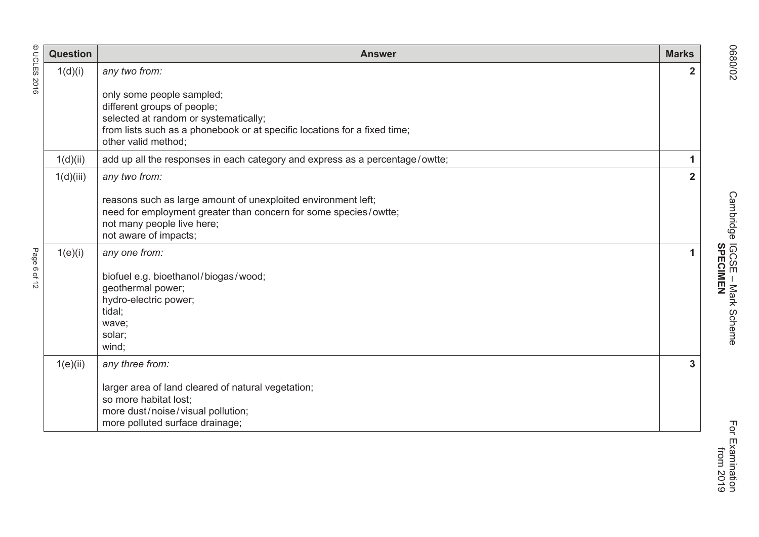|              | <b>Question</b> | <b>Answer</b>                                                                                                                                                                                         | <b>Marks</b>   |
|--------------|-----------------|-------------------------------------------------------------------------------------------------------------------------------------------------------------------------------------------------------|----------------|
| © UCLES 2016 | 1(d)(i)         | any two from:                                                                                                                                                                                         | $\mathbf{2}$   |
|              |                 | only some people sampled;<br>different groups of people;<br>selected at random or systematically;<br>from lists such as a phonebook or at specific locations for a fixed time;<br>other valid method; |                |
|              | 1(d)(ii)        | add up all the responses in each category and express as a percentage/owtte;                                                                                                                          | 1              |
|              | 1(d)(iii)       | any two from:                                                                                                                                                                                         | $\overline{2}$ |
|              |                 | reasons such as large amount of unexploited environment left;<br>need for employment greater than concern for some species/owtte;<br>not many people live here;<br>not aware of impacts;              |                |
| Page 6 of 12 | 1(e)(i)         | any one from:<br>biofuel e.g. bioethanol/biogas/wood;<br>geothermal power;<br>hydro-electric power;<br>tidal;<br>wave;<br>solar;<br>wind;                                                             | $\mathbf{1}$   |
|              | 1(e)(ii)        | any three from:                                                                                                                                                                                       | 3              |
|              |                 | larger area of land cleared of natural vegetation;<br>so more habitat lost;<br>more dust/noise/visual pollution;<br>more polluted surface drainage;                                                   |                |

O680/02 Cambridge IGCSE – Mark Scheme For Examination Cambridge IGCSE - Mark Scheme<br>SPECIMEN **SPECIMEN**

70/0890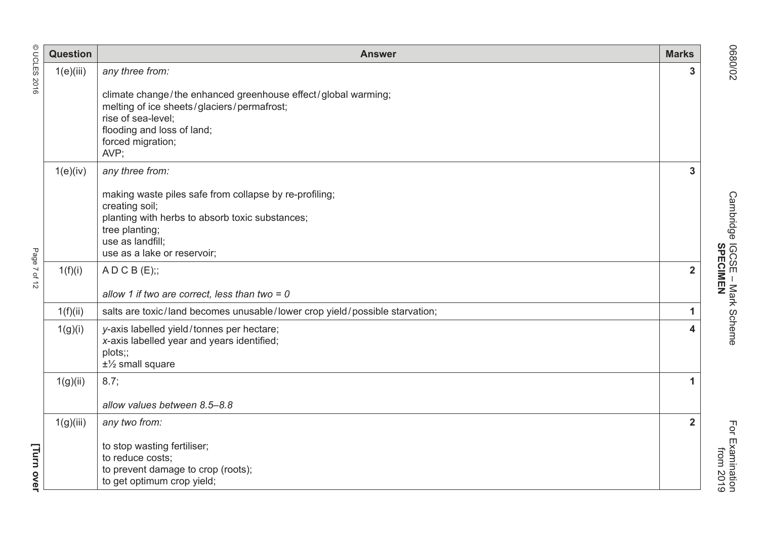|              | <b>Question</b> | <b>Answer</b>                                                                                                                                                                                                       | <b>Marks</b>   |
|--------------|-----------------|---------------------------------------------------------------------------------------------------------------------------------------------------------------------------------------------------------------------|----------------|
| © UCLES 2016 | 1(e)(iii)       | any three from:<br>climate change/the enhanced greenhouse effect/global warming;<br>melting of ice sheets/glaciers/permafrost;<br>rise of sea-level;<br>flooding and loss of land;<br>forced migration;<br>AVP;     | 3              |
|              | 1(e)(iv)        | any three from:<br>making waste piles safe from collapse by re-profiling;<br>creating soil;<br>planting with herbs to absorb toxic substances;<br>tree planting;<br>use as landfill;<br>use as a lake or reservoir; | 3              |
| Page 7 of 12 | 1(f)(i)         | A D C B (E);<br>allow 1 if two are correct, less than two = $0$                                                                                                                                                     | $\overline{2}$ |
|              | 1(f)(ii)        | salts are toxic/land becomes unusable/lower crop yield/possible starvation;                                                                                                                                         | $\mathbf{1}$   |
|              | 1(g)(i)         | y-axis labelled yield/tonnes per hectare;<br>x-axis labelled year and years identified;<br>plots;;<br>$±\frac{1}{2}$ small square                                                                                   | 4              |
|              | 1(g)(ii)        | 8.7;<br>allow values between 8.5-8.8                                                                                                                                                                                | 1              |
|              | 1(g)(iii)       | any two from:                                                                                                                                                                                                       | $\overline{2}$ |
| [Turn over   |                 | to stop wasting fertiliser;<br>to reduce costs;<br>to prevent damage to crop (roots);<br>to get optimum crop yield;                                                                                                 |                |

O680/02 Cambridge IGCSE – Mark Scheme For Examination Cambridge IGCSE - Mark Scheme<br>SPECIMEN **SPECIMEN**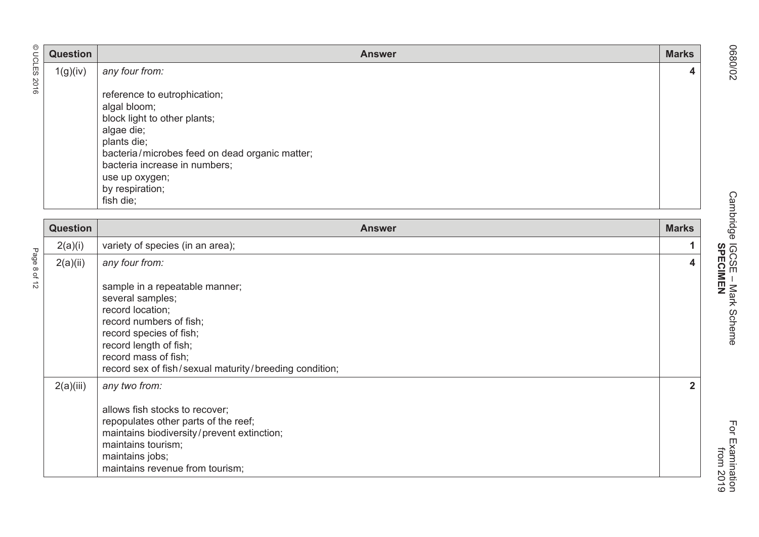| © UCLES 2016 | <b>Question</b> | <b>Answer</b>                                                                                                                                                                                                                                  | <b>Marks</b> |
|--------------|-----------------|------------------------------------------------------------------------------------------------------------------------------------------------------------------------------------------------------------------------------------------------|--------------|
|              | 1(g)(iv)        | any four from:                                                                                                                                                                                                                                 | 4            |
|              |                 | reference to eutrophication;<br>algal bloom;<br>block light to other plants;<br>algae die;<br>plants die;<br>bacteria/microbes feed on dead organic matter;<br>bacteria increase in numbers;<br>use up oxygen;<br>by respiration;<br>fish die; |              |
|              | <b>Question</b> | <b>Answer</b>                                                                                                                                                                                                                                  | <b>Marks</b> |
|              | 2(a)(i)         | variety of species (in an area);                                                                                                                                                                                                               |              |
| Page 8 of    | 2(a)(ii)        | any four from:                                                                                                                                                                                                                                 | 4            |
| 5            |                 | sample in a repeatable manner;                                                                                                                                                                                                                 |              |

| <b>Question</b> | <b>Answer</b>                                                                                                                                                                                                                            | <b>Marks</b> |
|-----------------|------------------------------------------------------------------------------------------------------------------------------------------------------------------------------------------------------------------------------------------|--------------|
| 2(a)(i)         | variety of species (in an area);                                                                                                                                                                                                         |              |
| 2(a)(ii)        | any four from:                                                                                                                                                                                                                           | 4            |
|                 | sample in a repeatable manner;<br>several samples;<br>record location;<br>record numbers of fish;<br>record species of fish;<br>record length of fish;<br>record mass of fish;<br>record sex of fish/sexual maturity/breeding condition; |              |
| 2(a)(iii)       | any two from:<br>allows fish stocks to recover;<br>repopulates other parts of the reef;<br>maintains biodiversity/prevent extinction;<br>maintains tourism;<br>maintains jobs;<br>maintains revenue from tourism;                        | $\mathbf{2}$ |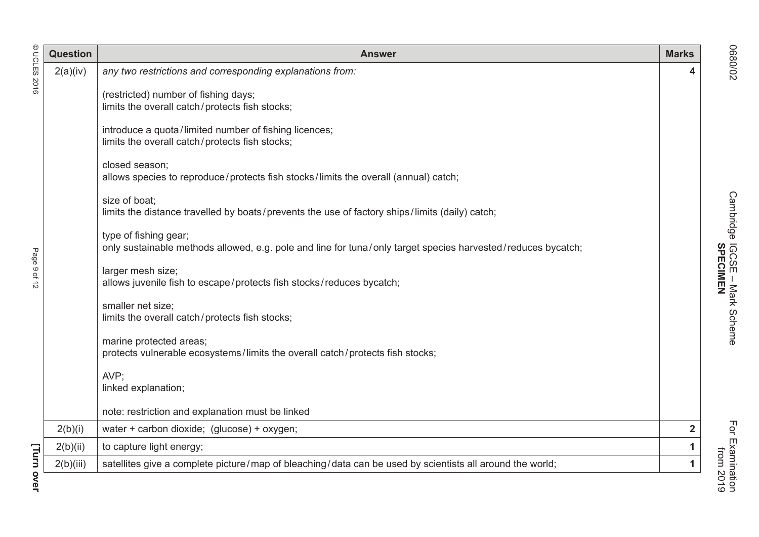|              | <b>Question</b> | <b>Answer</b>                                                                                                                         | <b>Marks</b> |                                                                |
|--------------|-----------------|---------------------------------------------------------------------------------------------------------------------------------------|--------------|----------------------------------------------------------------|
| DCLES        | 2(a)(iv)        | any two restrictions and corresponding explanations from:                                                                             | 4            | 70/0890                                                        |
| 2016         |                 | (restricted) number of fishing days;<br>limits the overall catch/protects fish stocks;                                                |              |                                                                |
|              |                 | introduce a quota/limited number of fishing licences;<br>limits the overall catch/protects fish stocks;                               |              |                                                                |
|              |                 | closed season;<br>allows species to reproduce/protects fish stocks/limits the overall (annual) catch;                                 |              |                                                                |
|              |                 | size of boat;<br>limits the distance travelled by boats/prevents the use of factory ships/limits (daily) catch;                       |              | Cambridge IGCSE - Mark Scheme<br>Cambridge IGCSE - Mark Scheme |
|              |                 | type of fishing gear;<br>only sustainable methods allowed, e.g. pole and line for tuna/only target species harvested/reduces bycatch; |              |                                                                |
| Page 9 of 12 |                 | larger mesh size;<br>allows juvenile fish to escape/protects fish stocks/reduces bycatch;                                             |              |                                                                |
|              |                 | smaller net size;<br>limits the overall catch/protects fish stocks;                                                                   |              |                                                                |
|              |                 | marine protected areas;<br>protects vulnerable ecosystems/limits the overall catch/protects fish stocks;                              |              |                                                                |
|              |                 | AVP;<br>linked explanation;                                                                                                           |              |                                                                |
|              |                 | note: restriction and explanation must be linked                                                                                      |              |                                                                |
|              | 2(b)(i)         | water + carbon dioxide; (glucose) + oxygen;                                                                                           | $\mathbf 2$  |                                                                |
|              | 2(b)(ii)        | to capture light energy;                                                                                                              | 1            | For Examination<br>from 2019                                   |
|              | 2(b)(iii)       | satellites give a complete picture/map of bleaching/data can be used by scientists all around the world;                              |              |                                                                |
| Turn over    |                 |                                                                                                                                       |              |                                                                |

© UCLES 2016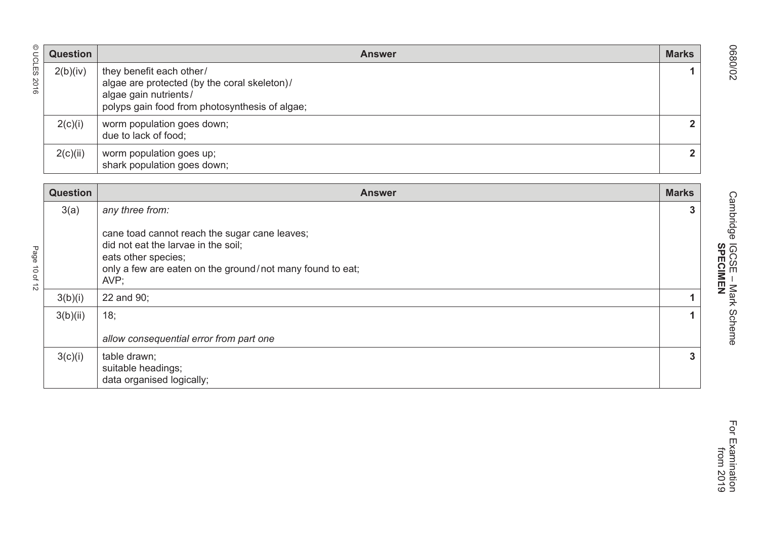| © UCLES                               | <b>Question</b> | <b>Answer</b>                                                                                                                                                                    | <b>Marks</b>   |
|---------------------------------------|-----------------|----------------------------------------------------------------------------------------------------------------------------------------------------------------------------------|----------------|
| 2016                                  | 2(b)(iv)        | they benefit each other/<br>algae are protected (by the coral skeleton)/<br>algae gain nutrients/<br>polyps gain food from photosynthesis of algae;                              |                |
|                                       | 2(c)(i)         | worm population goes down;<br>due to lack of food;                                                                                                                               | $\mathbf{2}$   |
|                                       | 2(c)(ii)        | worm population goes up;<br>shark population goes down;                                                                                                                          | $\overline{2}$ |
|                                       | <b>Question</b> | <b>Answer</b>                                                                                                                                                                    | <b>Marks</b>   |
|                                       | 3(a)            | any three from:                                                                                                                                                                  | $\mathbf{3}$   |
| age<br>B<br>ਰੋ<br>$\vec{\sigma}$<br>5 |                 | cane toad cannot reach the sugar cane leaves;<br>did not eat the larvae in the soil;<br>eats other species;<br>only a few are eaten on the ground/not many found to eat;<br>AVP; |                |

| <b>Question</b> | <b>Answer</b>                                                                                                                                                                    | <b>Marks</b> |
|-----------------|----------------------------------------------------------------------------------------------------------------------------------------------------------------------------------|--------------|
| 3(a)            | any three from:                                                                                                                                                                  | 3            |
|                 | cane toad cannot reach the sugar cane leaves;<br>did not eat the larvae in the soil;<br>eats other species;<br>only a few are eaten on the ground/not many found to eat;<br>AVP; |              |
| 3(b)(i)         | 22 and 90;                                                                                                                                                                       |              |
| 3(b)(ii)        | 18;                                                                                                                                                                              |              |
|                 | allow consequential error from part one                                                                                                                                          |              |
| 3(c)(i)         | table drawn;<br>suitable headings;<br>data organised logically;                                                                                                                  | $\mathbf{3}$ |

 from 2019 For Examination<br>from 2019